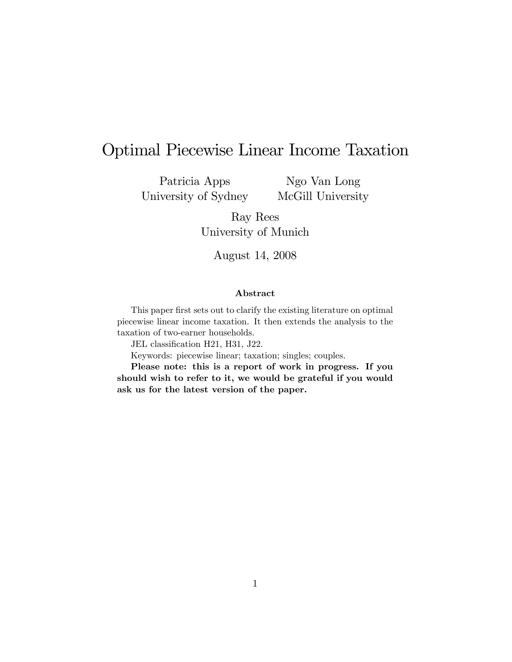# Optimal Piecewise Linear Income Taxation

Patricia Apps University of Sydney

Ngo Van Long McGill University

Ray Rees University of Munich

August 14, 2008

#### Abstract

This paper first sets out to clarify the existing literature on optimal piecewise linear income taxation. It then extends the analysis to the taxation of two-earner households.

JEL classification H21, H31, J22.

Keywords: piecewise linear; taxation; singles; couples.

Please note: this is a report of work in progress. If you should wish to refer to it, we would be grateful if you would ask us for the latest version of the paper.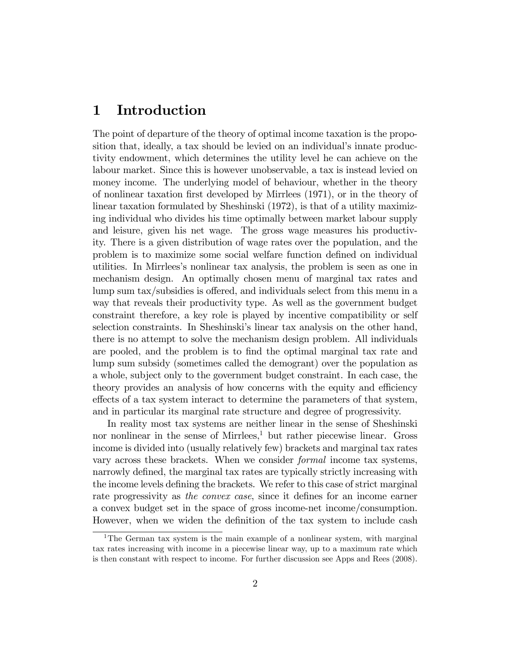## 1 Introduction

The point of departure of the theory of optimal income taxation is the proposition that, ideally, a tax should be levied on an individual's innate productivity endowment, which determines the utility level he can achieve on the labour market. Since this is however unobservable, a tax is instead levied on money income. The underlying model of behaviour, whether in the theory of nonlinear taxation Örst developed by Mirrlees (1971), or in the theory of linear taxation formulated by Sheshinski (1972), is that of a utility maximizing individual who divides his time optimally between market labour supply and leisure, given his net wage. The gross wage measures his productivity. There is a given distribution of wage rates over the population, and the problem is to maximize some social welfare function defined on individual utilities. In Mirrleesís nonlinear tax analysis, the problem is seen as one in mechanism design. An optimally chosen menu of marginal tax rates and lump sum tax/subsidies is offered, and individuals select from this menu in a way that reveals their productivity type. As well as the government budget constraint therefore, a key role is played by incentive compatibility or self selection constraints. In Sheshinski's linear tax analysis on the other hand, there is no attempt to solve the mechanism design problem. All individuals are pooled, and the problem is to find the optimal marginal tax rate and lump sum subsidy (sometimes called the demogrant) over the population as a whole, subject only to the government budget constraint. In each case, the theory provides an analysis of how concerns with the equity and efficiency effects of a tax system interact to determine the parameters of that system, and in particular its marginal rate structure and degree of progressivity.

In reality most tax systems are neither linear in the sense of Sheshinski nor nonlinear in the sense of Mirrlees, $\frac{1}{1}$  but rather piecewise linear. Gross income is divided into (usually relatively few) brackets and marginal tax rates vary across these brackets. When we consider formal income tax systems, narrowly defined, the marginal tax rates are typically strictly increasing with the income levels defining the brackets. We refer to this case of strict marginal rate progressivity as the convex case, since it defines for an income earner a convex budget set in the space of gross income-net income/consumption. However, when we widen the definition of the tax system to include cash

<sup>1</sup>The German tax system is the main example of a nonlinear system, with marginal tax rates increasing with income in a piecewise linear way, up to a maximum rate which is then constant with respect to income. For further discussion see Apps and Rees (2008).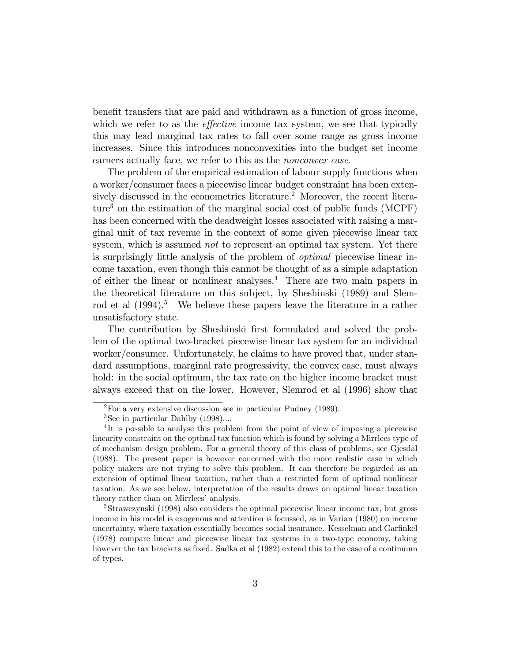benefit transfers that are paid and withdrawn as a function of gross income, which we refer to as the *effective* income tax system, we see that typically this may lead marginal tax rates to fall over some range as gross income increases. Since this introduces nonconvexities into the budget set income earners actually face, we refer to this as the *nonconvex case*.

The problem of the empirical estimation of labour supply functions when a worker/consumer faces a piecewise linear budget constraint has been extensively discussed in the econometrics literature.<sup>2</sup> Moreover, the recent literature<sup>3</sup> on the estimation of the marginal social cost of public funds  $(MCPF)$ has been concerned with the deadweight losses associated with raising a marginal unit of tax revenue in the context of some given piecewise linear tax system, which is assumed *not* to represent an optimal tax system. Yet there is surprisingly little analysis of the problem of optimal piecewise linear income taxation, even though this cannot be thought of as a simple adaptation of either the linear or nonlinear analyses.<sup>4</sup> There are two main papers in the theoretical literature on this subject, by Sheshinski (1989) and Slemrod et al  $(1994).$ <sup>5</sup> We believe these papers leave the literature in a rather unsatisfactory state.

The contribution by Sheshinski first formulated and solved the problem of the optimal two-bracket piecewise linear tax system for an individual worker/consumer. Unfortunately, he claims to have proved that, under standard assumptions, marginal rate progressivity, the convex case, must always hold: in the social optimum, the tax rate on the higher income bracket must always exceed that on the lower. However, Slemrod et al (1996) show that

<sup>2</sup>For a very extensive discussion see in particular Pudney (1989).

<sup>3</sup>See in particular Dahlby (1998)....

<sup>&</sup>lt;sup>4</sup>It is possible to analyse this problem from the point of view of imposing a piecewise linearity constraint on the optimal tax function which is found by solving a Mirrlees type of of mechanism design problem. For a general theory of this class of problems, see Gjesdal (1988). The present paper is however concerned with the more realistic case in which policy makers are not trying to solve this problem. It can therefore be regarded as an extension of optimal linear taxation, rather than a restricted form of optimal nonlinear taxation. As we see below, interpretation of the results draws on optimal linear taxation theory rather than on Mirrlees' analysis.

<sup>&</sup>lt;sup>5</sup>Strawczynski (1998) also considers the optimal piecewise linear income tax, but gross income in his model is exogenous and attention is focussed, as in Varian (1980) on income uncertainty, where taxation essentially becomes social insurance. Kesselman and Garfinkel (1978) compare linear and piecewise linear tax systems in a two-type economy, taking however the tax brackets as fixed. Sadka et al (1982) extend this to the case of a continuum of types.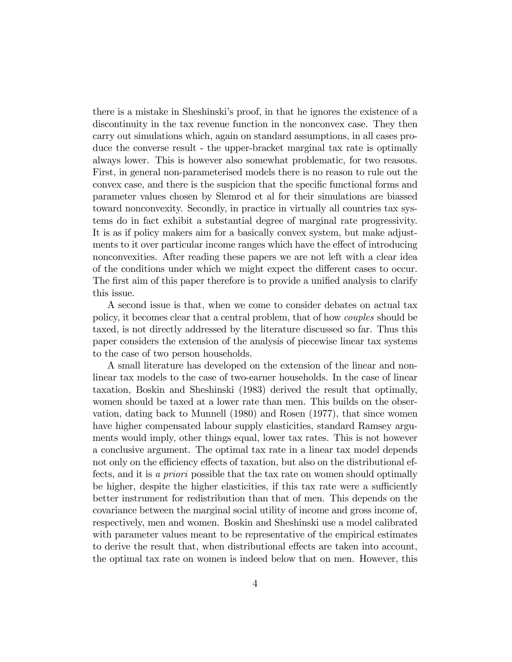there is a mistake in Sheshinskiís proof, in that he ignores the existence of a discontinuity in the tax revenue function in the nonconvex case. They then carry out simulations which, again on standard assumptions, in all cases produce the converse result - the upper-bracket marginal tax rate is optimally always lower. This is however also somewhat problematic, for two reasons. First, in general non-parameterised models there is no reason to rule out the convex case, and there is the suspicion that the specific functional forms and parameter values chosen by Slemrod et al for their simulations are biassed toward nonconvexity. Secondly, in practice in virtually all countries tax systems do in fact exhibit a substantial degree of marginal rate progressivity. It is as if policy makers aim for a basically convex system, but make adjustments to it over particular income ranges which have the effect of introducing nonconvexities. After reading these papers we are not left with a clear idea of the conditions under which we might expect the different cases to occur. The first aim of this paper therefore is to provide a unified analysis to clarify this issue.

A second issue is that, when we come to consider debates on actual tax policy, it becomes clear that a central problem, that of how couples should be taxed, is not directly addressed by the literature discussed so far. Thus this paper considers the extension of the analysis of piecewise linear tax systems to the case of two person households.

A small literature has developed on the extension of the linear and nonlinear tax models to the case of two-earner households. In the case of linear taxation, Boskin and Sheshinski (1983) derived the result that optimally, women should be taxed at a lower rate than men. This builds on the observation, dating back to Munnell (1980) and Rosen (1977), that since women have higher compensated labour supply elasticities, standard Ramsey arguments would imply, other things equal, lower tax rates. This is not however a conclusive argument. The optimal tax rate in a linear tax model depends not only on the efficiency effects of taxation, but also on the distributional effects, and it is a priori possible that the tax rate on women should optimally be higher, despite the higher elasticities, if this tax rate were a sufficiently better instrument for redistribution than that of men. This depends on the covariance between the marginal social utility of income and gross income of, respectively, men and women. Boskin and Sheshinski use a model calibrated with parameter values meant to be representative of the empirical estimates to derive the result that, when distributional effects are taken into account, the optimal tax rate on women is indeed below that on men. However, this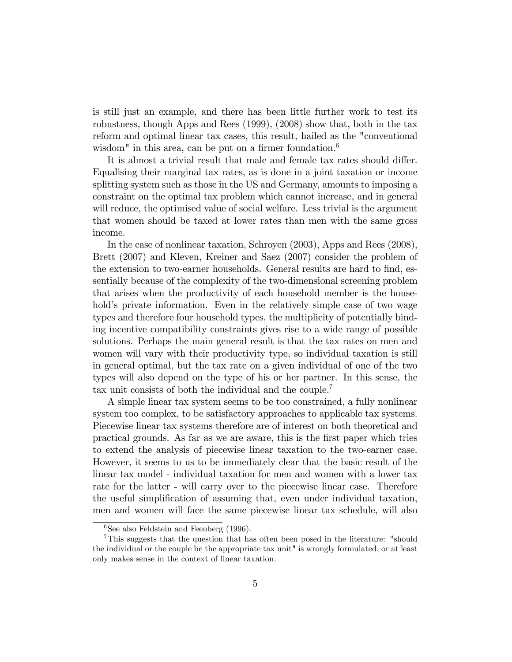is still just an example, and there has been little further work to test its robustness, though Apps and Rees (1999), (2008) show that, both in the tax reform and optimal linear tax cases, this result, hailed as the "conventional wisdom" in this area, can be put on a firmer foundation.<sup>6</sup>

It is almost a trivial result that male and female tax rates should differ. Equalising their marginal tax rates, as is done in a joint taxation or income splitting system such as those in the US and Germany, amounts to imposing a constraint on the optimal tax problem which cannot increase, and in general will reduce, the optimised value of social welfare. Less trivial is the argument that women should be taxed at lower rates than men with the same gross income.

In the case of nonlinear taxation, Schroyen (2003), Apps and Rees (2008), Brett (2007) and Kleven, Kreiner and Saez (2007) consider the problem of the extension to two-earner households. General results are hard to find, essentially because of the complexity of the two-dimensional screening problem that arises when the productivity of each household member is the household's private information. Even in the relatively simple case of two wage types and therefore four household types, the multiplicity of potentially binding incentive compatibility constraints gives rise to a wide range of possible solutions. Perhaps the main general result is that the tax rates on men and women will vary with their productivity type, so individual taxation is still in general optimal, but the tax rate on a given individual of one of the two types will also depend on the type of his or her partner. In this sense, the tax unit consists of both the individual and the couple.<sup>7</sup>

A simple linear tax system seems to be too constrained, a fully nonlinear system too complex, to be satisfactory approaches to applicable tax systems. Piecewise linear tax systems therefore are of interest on both theoretical and practical grounds. As far as we are aware, this is the Örst paper which tries to extend the analysis of piecewise linear taxation to the two-earner case. However, it seems to us to be immediately clear that the basic result of the linear tax model - individual taxation for men and women with a lower tax rate for the latter - will carry over to the piecewise linear case. Therefore the useful simplification of assuming that, even under individual taxation, men and women will face the same piecewise linear tax schedule, will also

 ${}^{6}$ See also Feldstein and Feenberg (1996).

<sup>&</sup>lt;sup>7</sup>This suggests that the question that has often been posed in the literature: "should" the individual or the couple be the appropriate tax unit" is wrongly formulated, or at least only makes sense in the context of linear taxation.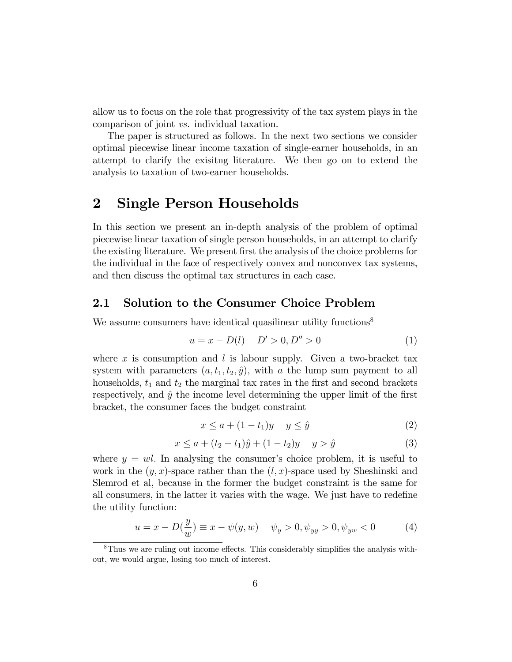allow us to focus on the role that progressivity of the tax system plays in the comparison of joint vs. individual taxation.

The paper is structured as follows. In the next two sections we consider optimal piecewise linear income taxation of single-earner households, in an attempt to clarify the exisitng literature. We then go on to extend the analysis to taxation of two-earner households.

## 2 Single Person Households

In this section we present an in-depth analysis of the problem of optimal piecewise linear taxation of single person households, in an attempt to clarify the existing literature. We present first the analysis of the choice problems for the individual in the face of respectively convex and nonconvex tax systems, and then discuss the optimal tax structures in each case.

### 2.1 Solution to the Consumer Choice Problem

We assume consumers have identical quasilinear utility functions<sup>8</sup>

$$
u = x - D(l) \quad D' > 0, D'' > 0 \tag{1}
$$

where x is consumption and  $l$  is labour supply. Given a two-bracket tax system with parameters  $(a, t_1, t_2, \hat{y})$ , with a the lump sum payment to all households,  $t_1$  and  $t_2$  the marginal tax rates in the first and second brackets respectively, and  $\hat{y}$  the income level determining the upper limit of the first bracket, the consumer faces the budget constraint

$$
x \le a + (1 - t_1)y \quad y \le \hat{y} \tag{2}
$$

$$
x \le a + (t_2 - t_1)\hat{y} + (1 - t_2)y \quad y > \hat{y} \tag{3}
$$

where  $y = w l$ . In analysing the consumer's choice problem, it is useful to work in the  $(y, x)$ -space rather than the  $(l, x)$ -space used by Sheshinski and Slemrod et al, because in the former the budget constraint is the same for all consumers, in the latter it varies with the wage. We just have to redefine the utility function:

$$
u = x - D(\frac{y}{w}) \equiv x - \psi(y, w) \quad \psi_y > 0, \psi_{yy} > 0, \psi_{yw} < 0 \tag{4}
$$

 ${}^{8}$ Thus we are ruling out income effects. This considerably simplifies the analysis without, we would argue, losing too much of interest.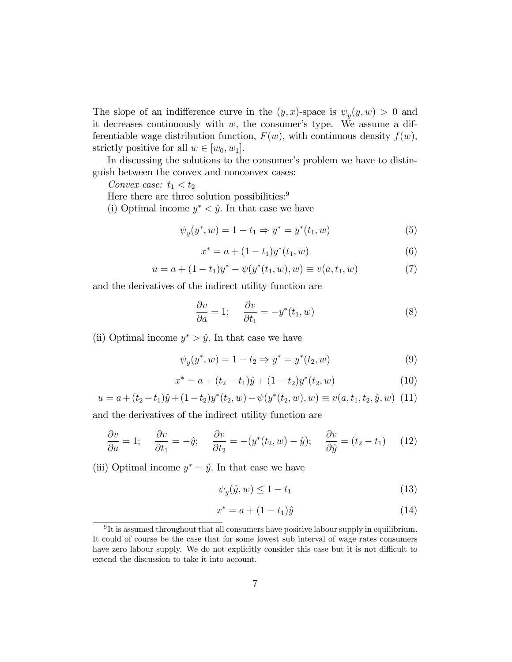The slope of an indifference curve in the  $(y, x)$ -space is  $\psi_y(y, w) > 0$  and it decreases continuously with  $w$ , the consumer's type. We assume a differentiable wage distribution function,  $F(w)$ , with continuous density  $f(w)$ , strictly positive for all  $w \in [w_0, w_1]$ .

In discussing the solutions to the consumer's problem we have to distinguish between the convex and nonconvex cases:

Convex case:  $t_1 < t_2$ 

Here there are three solution possibilities:<sup>9</sup>

(i) Optimal income  $y^* < \hat{y}$ . In that case we have

$$
\psi_y(y^*, w) = 1 - t_1 \Rightarrow y^* = y^*(t_1, w)
$$
\n(5)

$$
x^* = a + (1 - t_1)y^*(t_1, w)
$$
\n(6)

$$
u = a + (1 - t_1)y^* - \psi(y^*(t_1, w), w) \equiv v(a, t_1, w)
$$
\n(7)

and the derivatives of the indirect utility function are

$$
\frac{\partial v}{\partial a} = 1; \quad \frac{\partial v}{\partial t_1} = -y^*(t_1, w) \tag{8}
$$

(ii) Optimal income  $y^* > \hat{y}$ . In that case we have

$$
\psi_y(y^*, w) = 1 - t_2 \Rightarrow y^* = y^*(t_2, w)
$$
\n(9)

$$
x^* = a + (t_2 - t_1)\hat{y} + (1 - t_2)y^*(t_2, w)
$$
\n(10)

$$
u = a + (t_2 - t_1)\hat{y} + (1 - t_2)y^*(t_2, w) - \psi(y^*(t_2, w), w) \equiv v(a, t_1, t_2, \hat{y}, w) \tag{11}
$$

and the derivatives of the indirect utility function are

$$
\frac{\partial v}{\partial a} = 1; \quad \frac{\partial v}{\partial t_1} = -\hat{y}; \quad \frac{\partial v}{\partial t_2} = -(y^*(t_2, w) - \hat{y}); \quad \frac{\partial v}{\partial \hat{y}} = (t_2 - t_1) \quad (12)
$$

(iii) Optimal income  $y^* = \hat{y}$ . In that case we have

$$
\psi_y(\hat{y}, w) \le 1 - t_1 \tag{13}
$$

$$
x^* = a + (1 - t_1)\hat{y}
$$
 (14)

 $9\text{It is assumed throughout that all consumers have positive labour supply in equilibrium.}$ It could of course be the case that for some lowest sub interval of wage rates consumers have zero labour supply. We do not explicitly consider this case but it is not difficult to extend the discussion to take it into account.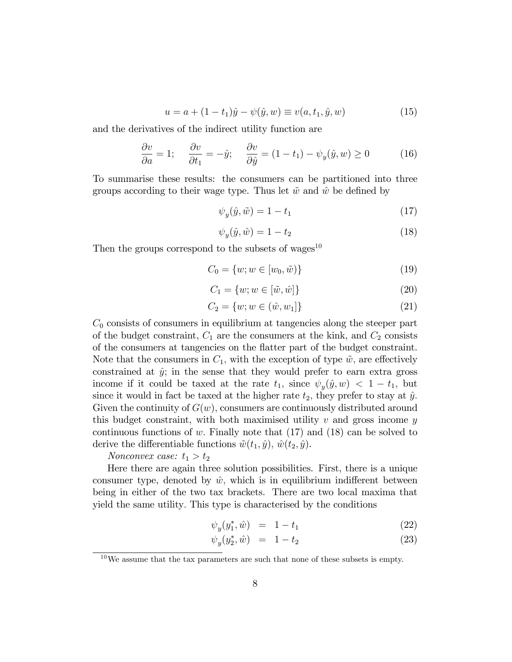$$
u = a + (1 - t_1)\hat{y} - \psi(\hat{y}, w) \equiv v(a, t_1, \hat{y}, w)
$$
(15)

and the derivatives of the indirect utility function are

$$
\frac{\partial v}{\partial a} = 1; \quad \frac{\partial v}{\partial t_1} = -\hat{y}; \quad \frac{\partial v}{\partial \hat{y}} = (1 - t_1) - \psi_y(\hat{y}, w) \ge 0 \quad (16)
$$

To summarise these results: the consumers can be partitioned into three groups according to their wage type. Thus let  $\tilde{w}$  and  $\hat{w}$  be defined by

$$
\psi_y(\hat{y}, \tilde{w}) = 1 - t_1 \tag{17}
$$

$$
\psi_y(\hat{y}, \hat{w}) = 1 - t_2 \tag{18}
$$

Then the groups correspond to the subsets of wages<sup>10</sup>

$$
C_0 = \{w; w \in [w_0, \tilde{w})\}
$$
\n(19)

$$
C_1 = \{w; w \in [\tilde{w}, \hat{w}]\}\tag{20}
$$

$$
C_2 = \{w; w \in (\hat{w}, w_1]\}\tag{21}
$$

 $C_0$  consists of consumers in equilibrium at tangencies along the steeper part of the budget constraint,  $C_1$  are the consumers at the kink, and  $C_2$  consists of the consumers at tangencies on the áatter part of the budget constraint. Note that the consumers in  $C_1$ , with the exception of type  $\tilde{w}$ , are effectively constrained at  $\hat{y}$ ; in the sense that they would prefer to earn extra gross income if it could be taxed at the rate  $t_1$ , since  $\psi_y(\hat{y}, w) < 1 - t_1$ , but since it would in fact be taxed at the higher rate  $t_2$ , they prefer to stay at  $\hat{y}$ . Given the continuity of  $G(w)$ , consumers are continuously distributed around this budget constraint, with both maximised utility  $v$  and gross income  $y$ continuous functions of w. Finally note that  $(17)$  and  $(18)$  can be solved to derive the differentiable functions  $\tilde{w}(t_1, \hat{y}), \hat{w}(t_2, \hat{y}).$ 

#### Nonconvex case:  $t_1 > t_2$

Here there are again three solution possibilities. First, there is a unique consumer type, denoted by  $\hat{w}$ , which is in equilibrium indifferent between being in either of the two tax brackets. There are two local maxima that yield the same utility: This type is characterised by the conditions

$$
\psi_y(y_1^*, \hat{w}) = 1 - t_1 \tag{22}
$$

$$
\psi_y(y_2^*, \hat{w}) = 1 - t_2 \tag{23}
$$

 $10$ We assume that the tax parameters are such that none of these subsets is empty.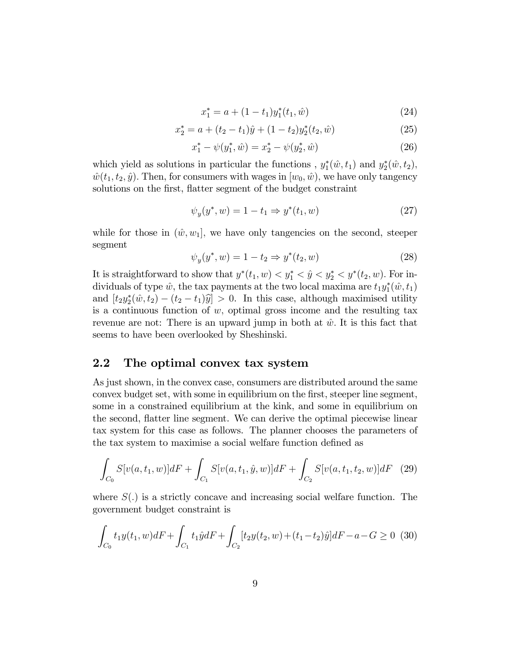$$
x_1^* = a + (1 - t_1)y_1^*(t_1, \hat{w})
$$
\n(24)

$$
x_2^* = a + (t_2 - t_1)\hat{y} + (1 - t_2)y_2^*(t_2, \hat{w})
$$
\n(25)

$$
x_1^* - \psi(y_1^*, \hat{w}) = x_2^* - \psi(y_2^*, \hat{w})
$$
\n(26)

which yield as solutions in particular the functions,  $y_1^*(\hat{w}, t_1)$  and  $y_2^*(\hat{w}, t_2)$ ,  $\hat{w}(t_1, t_2, \hat{y})$ . Then, for consumers with wages in  $[w_0, \hat{w})$ , we have only tangency solutions on the first, flatter segment of the budget constraint

$$
\psi_y(y^*, w) = 1 - t_1 \Rightarrow y^*(t_1, w)
$$
\n(27)

while for those in  $(\hat{w}, w_1]$ , we have only tangencies on the second, steeper segment

$$
\psi_y(y^*, w) = 1 - t_2 \Rightarrow y^*(t_2, w)
$$
\n(28)

It is straightforward to show that  $y^*(t_1, w) < y_1^* < \hat{y} < y_2^* < y^*(t_2, w)$ . For individuals of type  $\hat{w}$ , the tax payments at the two local maxima are  $t_1 y_1^*(\hat{w}, t_1)$ and  $[t_2y_2^*(\hat{w}, t_2) - (t_2 - t_1)\hat{y}] > 0$ . In this case, although maximised utility is a continuous function of  $w$ , optimal gross income and the resulting tax revenue are not: There is an upward jump in both at  $\hat{w}$ . It is this fact that seems to have been overlooked by Sheshinski.

## 2.2 The optimal convex tax system

As just shown, in the convex case, consumers are distributed around the same convex budget set, with some in equilibrium on the first, steeper line segment, some in a constrained equilibrium at the kink, and some in equilibrium on the second, áatter line segment. We can derive the optimal piecewise linear tax system for this case as follows. The planner chooses the parameters of the tax system to maximise a social welfare function defined as

$$
\int_{C_0} S[v(a, t_1, w)]dF + \int_{C_1} S[v(a, t_1, \hat{y}, w)]dF + \int_{C_2} S[v(a, t_1, t_2, w)]dF \quad (29)
$$

where  $S(.)$  is a strictly concave and increasing social welfare function. The government budget constraint is

$$
\int_{C_0} t_1 y(t_1, w) dF + \int_{C_1} t_1 \hat{y} dF + \int_{C_2} [t_2 y(t_2, w) + (t_1 - t_2)\hat{y}] dF - a - G \ge 0
$$
 (30)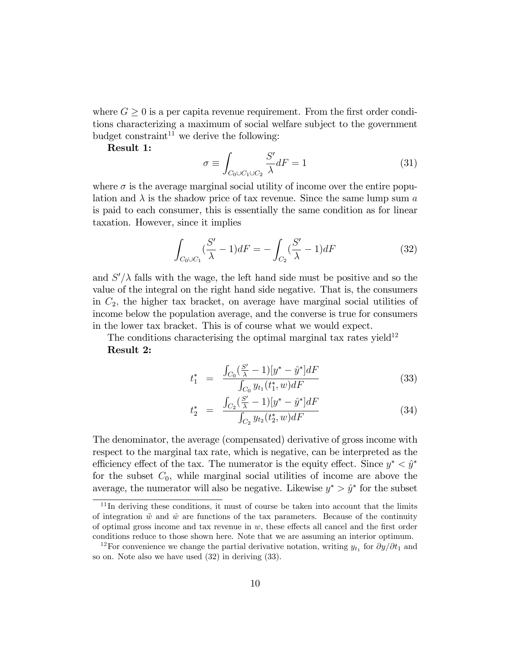where  $G \geq 0$  is a per capita revenue requirement. From the first order conditions characterizing a maximum of social welfare subject to the government budget constraint<sup>11</sup> we derive the following:

Result 1:

$$
\sigma \equiv \int_{C_0 \cup C_1 \cup C_2} \frac{S'}{\lambda} dF = 1 \tag{31}
$$

where  $\sigma$  is the average marginal social utility of income over the entire population and  $\lambda$  is the shadow price of tax revenue. Since the same lump sum a is paid to each consumer, this is essentially the same condition as for linear taxation. However, since it implies

$$
\int_{C_0 \cup C_1} \left(\frac{S'}{\lambda} - 1\right) dF = -\int_{C_2} \left(\frac{S'}{\lambda} - 1\right) dF \tag{32}
$$

and  $S'/\lambda$  falls with the wage, the left hand side must be positive and so the value of the integral on the right hand side negative. That is, the consumers in  $C_2$ , the higher tax bracket, on average have marginal social utilities of income below the population average, and the converse is true for consumers in the lower tax bracket. This is of course what we would expect.

The conditions characterising the optimal marginal tax rates yield<sup>12</sup> Result 2:

$$
t_{1}^{*} = \frac{\int_{C_{0}} (\frac{S'}{\lambda} - 1)[y^{*} - \hat{y}^{*}]dF}{\int_{C_{0}} y_{t_{1}}(t_{1}^{*}, w)dF}
$$
(33)

$$
t_2^* = \frac{\int_{C_2} (\frac{S'}{\lambda} - 1)[y^* - \hat{y}^*]dF}{\int_{C_2} y_{t_2}(t_2^*, w)dF}
$$
(34)

The denominator, the average (compensated) derivative of gross income with respect to the marginal tax rate, which is negative, can be interpreted as the efficiency effect of the tax. The numerator is the equity effect. Since  $y^* < \hat{y}^*$ for the subset  $C_0$ , while marginal social utilities of income are above the average, the numerator will also be negative. Likewise  $y^* > \hat{y}^*$  for the subset

 $11$ In deriving these conditions, it must of course be taken into account that the limits of integration  $\tilde{w}$  and  $\hat{w}$  are functions of the tax parameters. Because of the continuity of optimal gross income and tax revenue in  $w$ , these effects all cancel and the first order conditions reduce to those shown here. Note that we are assuming an interior optimum.

<sup>&</sup>lt;sup>12</sup>For convenience we change the partial derivative notation, writing  $y_{t_1}$  for  $\partial y/\partial t_1$  and so on. Note also we have used (32) in deriving (33).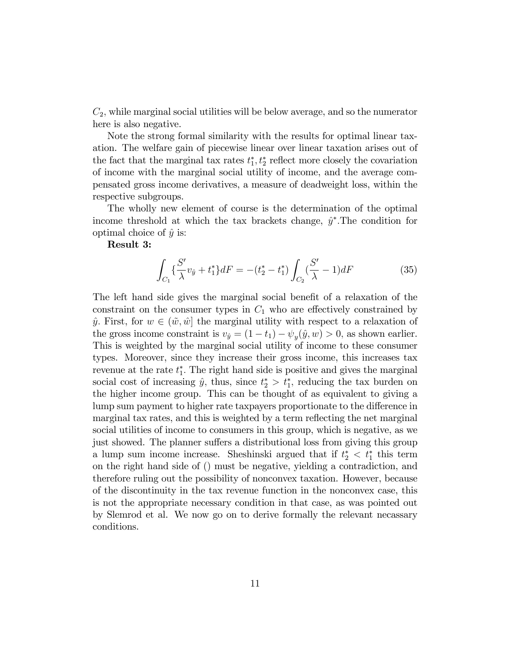$C_2$ , while marginal social utilities will be below average, and so the numerator here is also negative.

Note the strong formal similarity with the results for optimal linear taxation. The welfare gain of piecewise linear over linear taxation arises out of the fact that the marginal tax rates  $t_1^*, t_2^*$  reflect more closely the covariation of income with the marginal social utility of income, and the average compensated gross income derivatives, a measure of deadweight loss, within the respective subgroups.

The wholly new element of course is the determination of the optimal income threshold at which the tax brackets change,  $\hat{y}^*$ . The condition for optimal choice of  $\hat{y}$  is:

### Result 3:

$$
\int_{C_1} \left\{ \frac{S'}{\lambda} v_{\hat{y}} + t_1^* \right\} dF = -(t_2^* - t_1^*) \int_{C_2} \left( \frac{S'}{\lambda} - 1 \right) dF \tag{35}
$$

The left hand side gives the marginal social benefit of a relaxation of the constraint on the consumer types in  $C_1$  who are effectively constrained by  $\hat{y}$ . First, for  $w \in (\tilde{w}, \hat{w})$  the marginal utility with respect to a relaxation of the gross income constraint is  $v_{\hat{y}} = (1 - t_1) - \psi_y(\hat{y}, w) > 0$ , as shown earlier. This is weighted by the marginal social utility of income to these consumer types. Moreover, since they increase their gross income, this increases tax revenue at the rate  $t_1^*$ . The right hand side is positive and gives the marginal social cost of increasing  $\hat{y}$ , thus, since  $t_2^* > t_1^*$ , reducing the tax burden on the higher income group. This can be thought of as equivalent to giving a lump sum payment to higher rate taxpayers proportionate to the difference in marginal tax rates, and this is weighted by a term reflecting the net marginal social utilities of income to consumers in this group, which is negative, as we just showed. The planner suffers a distributional loss from giving this group a lump sum income increase. Sheshinski argued that if  $t_2^* < t_1^*$  this term on the right hand side of () must be negative, yielding a contradiction, and therefore ruling out the possibility of nonconvex taxation. However, because of the discontinuity in the tax revenue function in the nonconvex case, this is not the appropriate necessary condition in that case, as was pointed out by Slemrod et al. We now go on to derive formally the relevant necassary conditions.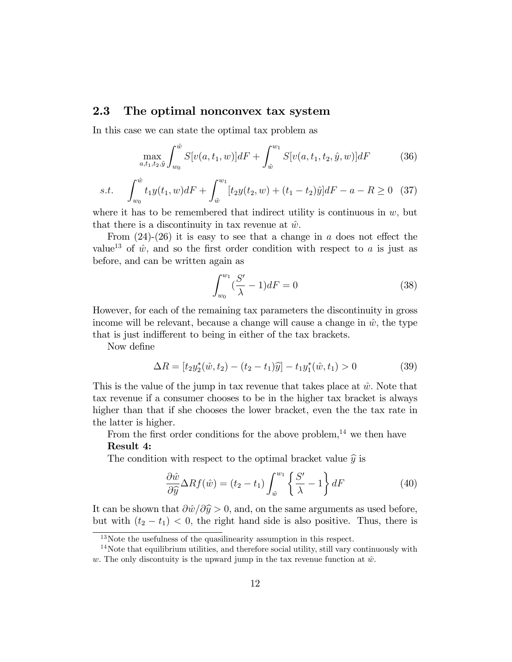## 2.3 The optimal nonconvex tax system

In this case we can state the optimal tax problem as

$$
\max_{a,t_1,t_2,\hat{y}} \int_{w_0}^{\hat{w}} S[v(a,t_1,w)]dF + \int_{\hat{w}}^{w_1} S[v(a,t_1,t_2,\hat{y},w)]dF \tag{36}
$$

s.t. 
$$
\int_{w_0}^{\hat{w}} t_1 y(t_1, w) dF + \int_{\hat{w}}^{w_1} [t_2 y(t_2, w) + (t_1 - t_2)\hat{y}] dF - a - R \ge 0 \quad (37)
$$

where it has to be remembered that indirect utility is continuous in  $w$ , but that there is a discontinuity in tax revenue at  $\hat{w}$ .

From  $(24)-(26)$  it is easy to see that a change in a does not effect the value<sup>13</sup> of  $\hat{w}$ , and so the first order condition with respect to a is just as before, and can be written again as

$$
\int_{w_0}^{w_1} \left(\frac{S'}{\lambda} - 1\right) dF = 0\tag{38}
$$

However, for each of the remaining tax parameters the discontinuity in gross income will be relevant, because a change will cause a change in  $\hat{w}$ , the type that is just indifferent to being in either of the tax brackets.

Now define

$$
\Delta R = [t_2 y_2^* (\hat{w}, t_2) - (t_2 - t_1)\hat{y}] - t_1 y_1^* (\hat{w}, t_1) > 0 \tag{39}
$$

This is the value of the jump in tax revenue that takes place at  $\hat{w}$ . Note that tax revenue if a consumer chooses to be in the higher tax bracket is always higher than that if she chooses the lower bracket, even the the tax rate in the latter is higher.

From the first order conditions for the above problem,<sup>14</sup> we then have Result 4:

The condition with respect to the optimal bracket value  $\hat{y}$  is

$$
\frac{\partial \hat{w}}{\partial \hat{y}} \Delta R f(\hat{w}) = (t_2 - t_1) \int_{\hat{w}}^{w_1} \left\{ \frac{S'}{\lambda} - 1 \right\} dF \tag{40}
$$

It can be shown that  $\partial \hat{w}/\partial \hat{y} > 0$ , and, on the same arguments as used before, but with  $(t_2 - t_1) < 0$ , the right hand side is also positive. Thus, there is

 $13$ Note the usefulness of the quasilinearity assumption in this respect.

 $14$ Note that equilibrium utilities, and therefore social utility, still vary continuously with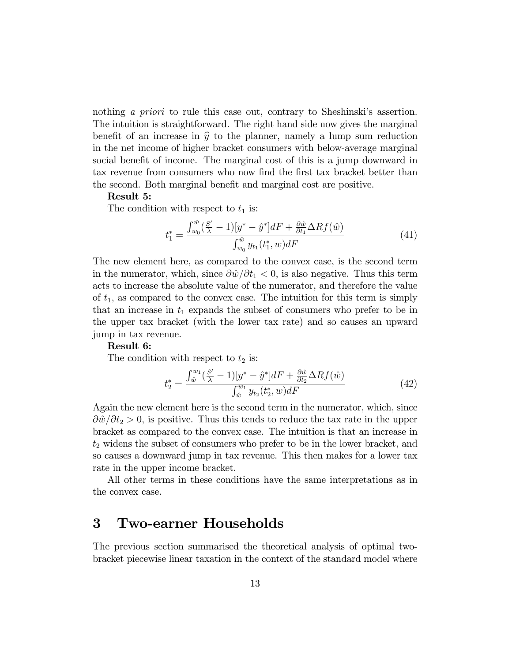nothing a priori to rule this case out, contrary to Sheshinski's assertion. The intuition is straightforward. The right hand side now gives the marginal benefit of an increase in  $\hat{y}$  to the planner, namely a lump sum reduction in the net income of higher bracket consumers with below-average marginal social benefit of income. The marginal cost of this is a jump downward in tax revenue from consumers who now find the first tax bracket better than the second. Both marginal benefit and marginal cost are positive.

#### Result 5:

The condition with respect to  $t_1$  is:

$$
t_1^* = \frac{\int_{w_0}^{\hat{w}} (\frac{S'}{\lambda} - 1)[y^* - \hat{y}^*]dF + \frac{\partial \hat{w}}{\partial t_1} \Delta R f(\hat{w})}{\int_{w_0}^{\hat{w}} y_{t_1}(t_1^*, w) dF}
$$
(41)

The new element here, as compared to the convex case, is the second term in the numerator, which, since  $\frac{\partial \hat{w}}{\partial t_1} < 0$ , is also negative. Thus this term acts to increase the absolute value of the numerator, and therefore the value of  $t_1$ , as compared to the convex case. The intuition for this term is simply that an increase in  $t_1$  expands the subset of consumers who prefer to be in the upper tax bracket (with the lower tax rate) and so causes an upward jump in tax revenue.

#### Result 6:

The condition with respect to  $t_2$  is:

$$
t_2^* = \frac{\int_{\hat{w}}^{w_1} (\frac{S'}{\lambda} - 1)[y^* - \hat{y}^*]dF + \frac{\partial \hat{w}}{\partial t_2} \Delta R f(\hat{w})}{\int_{\hat{w}}^{w_1} y_{t_2}(t_2^*, w) dF}
$$
(42)

Again the new element here is the second term in the numerator, which, since  $\partial \hat{w}/\partial t_2 > 0$ , is positive. Thus this tends to reduce the tax rate in the upper bracket as compared to the convex case. The intuition is that an increase in  $t_2$  widens the subset of consumers who prefer to be in the lower bracket, and so causes a downward jump in tax revenue. This then makes for a lower tax rate in the upper income bracket.

All other terms in these conditions have the same interpretations as in the convex case.

## 3 Two-earner Households

The previous section summarised the theoretical analysis of optimal twobracket piecewise linear taxation in the context of the standard model where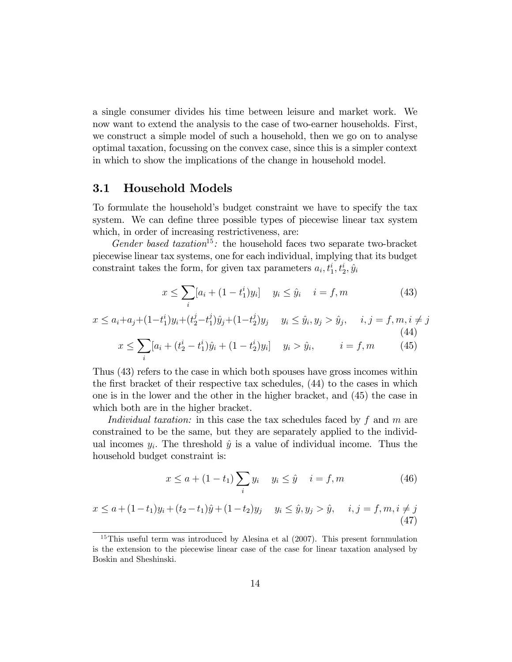a single consumer divides his time between leisure and market work. We now want to extend the analysis to the case of two-earner households. First, we construct a simple model of such a household, then we go on to analyse optimal taxation, focussing on the convex case, since this is a simpler context in which to show the implications of the change in household model.

### 3.1 Household Models

To formulate the householdís budget constraint we have to specify the tax system. We can define three possible types of piecewise linear tax system which, in order of increasing restrictiveness, are:

Gender based taxation<sup>15</sup>: the household faces two separate two-bracket piecewise linear tax systems, one for each individual, implying that its budget constraint takes the form, for given tax parameters  $a_i, t_1^i, t_2^i, \hat{y}_i$ 

$$
x \le \sum_{i} [a_i + (1 - t_1^i)y_i] \quad y_i \le \hat{y}_i \quad i = f, m \tag{43}
$$

$$
x \le a_i + a_j + (1 - t_1^i)y_i + (t_2^j - t_1^j)\hat{y}_j + (1 - t_2^j)y_j \quad y_i \le \hat{y}_i, y_j > \hat{y}_j, \quad i, j = f, m, i \ne j
$$
\n
$$
x \le \sum_i [a_i + (t_2^i - t_1^i)\hat{y}_i + (1 - t_2^i)y_i] \quad y_i > \hat{y}_i, \quad i = f, m
$$
\n(45)

Thus (43) refers to the case in which both spouses have gross incomes within the first bracket of their respective tax schedules,  $(44)$  to the cases in which one is in the lower and the other in the higher bracket, and (45) the case in which both are in the higher bracket.

Individual taxation: in this case the tax schedules faced by  $f$  and  $m$  are constrained to be the same, but they are separately applied to the individual incomes  $y_i$ . The threshold  $\hat{y}$  is a value of individual income. Thus the household budget constraint is:

$$
x \le a + (1 - t_1) \sum_{i} y_i \quad y_i \le \hat{y} \quad i = f, m \tag{46}
$$

$$
x \le a + (1 - t_1)y_i + (t_2 - t_1)\hat{y} + (1 - t_2)y_j \quad y_i \le \hat{y}, y_j > \hat{y}, \quad i, j = f, m, i \ne j
$$
\n(47)

<sup>&</sup>lt;sup>15</sup>This useful term was introduced by Alesina et al (2007). This present fornmulation is the extension to the piecewise linear case of the case for linear taxation analysed by Boskin and Sheshinski.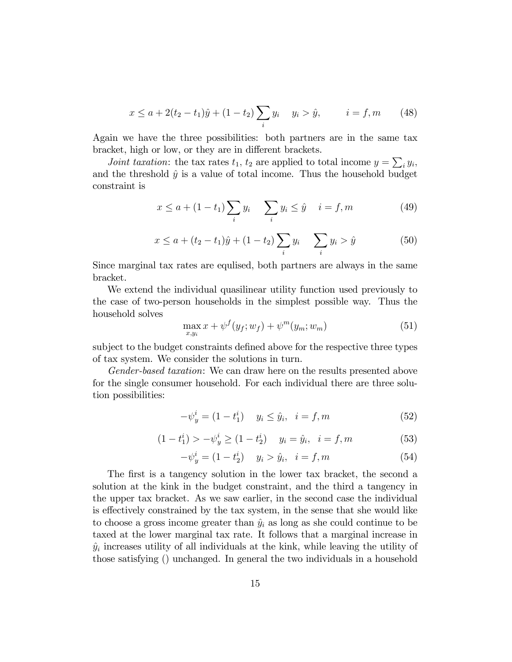$$
x \le a + 2(t_2 - t_1)\hat{y} + (1 - t_2) \sum_i y_i \quad y_i > \hat{y}, \qquad i = f, m \qquad (48)
$$

Again we have the three possibilities: both partners are in the same tax bracket, high or low, or they are in different brackets.

*Joint taxation*: the tax rates  $t_1$ ,  $t_2$  are applied to total income  $y = \sum_i y_i$ , and the threshold  $\hat{y}$  is a value of total income. Thus the household budget constraint is

$$
x \le a + (1 - t_1) \sum_{i} y_i \quad \sum_{i} y_i \le \hat{y} \quad i = f, m \tag{49}
$$

$$
x \le a + (t_2 - t_1)\hat{y} + (1 - t_2) \sum_i y_i \qquad \sum_i y_i > \hat{y} \tag{50}
$$

Since marginal tax rates are equlised, both partners are always in the same bracket.

We extend the individual quasilinear utility function used previously to the case of two-person households in the simplest possible way. Thus the household solves

$$
\max_{x,y_i} x + \psi^f(y_f; w_f) + \psi^m(y_m; w_m)
$$
\n(51)

subject to the budget constraints defined above for the respective three types of tax system. We consider the solutions in turn.

Gender-based taxation: We can draw here on the results presented above for the single consumer household. For each individual there are three solution possibilities:

$$
-\psi_y^i = (1 - t_1^i) \quad y_i \le \hat{y}_i, \quad i = f, m \tag{52}
$$

$$
(1 - t_1^i) > -\psi_y^i \ge (1 - t_2^i) \quad y_i = \hat{y}_i, \quad i = f, m \tag{53}
$$

$$
-\psi_y^i = (1 - t_2^i) \quad y_i > \hat{y}_i, \quad i = f, m \tag{54}
$$

The first is a tangency solution in the lower tax bracket, the second a solution at the kink in the budget constraint, and the third a tangency in the upper tax bracket. As we saw earlier, in the second case the individual is effectively constrained by the tax system, in the sense that she would like to choose a gross income greater than  $\hat{y}_i$  as long as she could continue to be taxed at the lower marginal tax rate. It follows that a marginal increase in  $\hat{y}_i$  increases utility of all individuals at the kink, while leaving the utility of those satisfying () unchanged. In general the two individuals in a household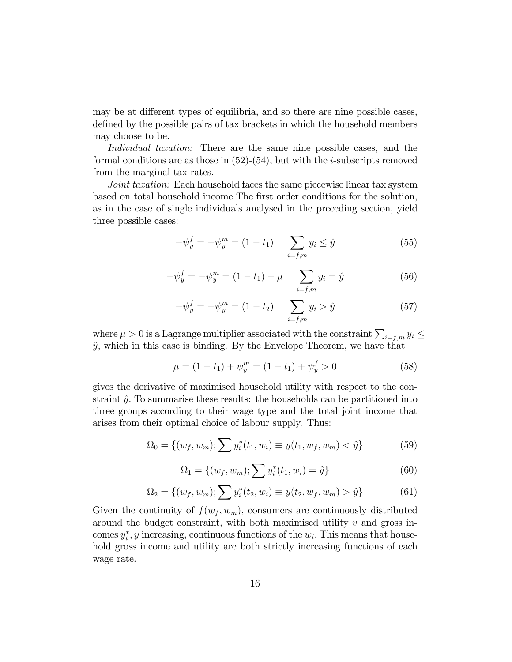may be at different types of equilibria, and so there are nine possible cases, defined by the possible pairs of tax brackets in which the household members may choose to be.

Individual taxation: There are the same nine possible cases, and the formal conditions are as those in  $(52)-(54)$ , but with the *i*-subscripts removed from the marginal tax rates.

Joint taxation: Each household faces the same piecewise linear tax system based on total household income The first order conditions for the solution, as in the case of single individuals analysed in the preceding section, yield three possible cases:

$$
-\psi_y^f = -\psi_y^m = (1 - t_1) \sum_{i = f, m} y_i \le \hat{y}
$$
 (55)

$$
-\psi_y^f = -\psi_y^m = (1 - t_1) - \mu \sum_{i = f, m} y_i = \hat{y}
$$
 (56)

$$
-\psi_y^f = -\psi_y^m = (1 - t_2) \sum_{i = f, m} y_i > \hat{y}
$$
 (57)

where  $\mu > 0$  is a Lagrange multiplier associated with the constraint  $\sum_{i=f,m} y_i \le$  $\hat{y}$ , which in this case is binding. By the Envelope Theorem, we have that

$$
\mu = (1 - t_1) + \psi_y^m = (1 - t_1) + \psi_y^f > 0 \tag{58}
$$

gives the derivative of maximised household utility with respect to the constraint  $\hat{y}$ . To summarise these results: the households can be partitioned into three groups according to their wage type and the total joint income that arises from their optimal choice of labour supply. Thus:

$$
\Omega_0 = \{(w_f, w_m); \sum y_i^*(t_1, w_i) \equiv y(t_1, w_f, w_m) < \hat{y}\}\tag{59}
$$

$$
\Omega_1 = \{(w_f, w_m); \sum y_i^*(t_1, w_i) = \hat{y}\}\tag{60}
$$

$$
\Omega_2 = \{(w_f, w_m); \sum y_i^*(t_2, w_i) \equiv y(t_2, w_f, w_m) > \hat{y}\}\tag{61}
$$

Given the continuity of  $f(w_f, w_m)$ , consumers are continuously distributed around the budget constraint, with both maximised utility  $v$  and gross incomes  $y_i^*$ , y increasing, continuous functions of the  $w_i$ . This means that household gross income and utility are both strictly increasing functions of each wage rate.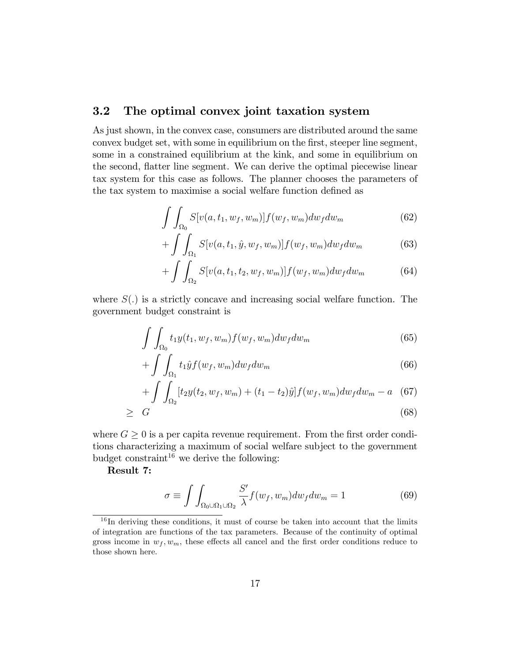## 3.2 The optimal convex joint taxation system

As just shown, in the convex case, consumers are distributed around the same convex budget set, with some in equilibrium on the first, steeper line segment, some in a constrained equilibrium at the kink, and some in equilibrium on the second, áatter line segment. We can derive the optimal piecewise linear tax system for this case as follows. The planner chooses the parameters of the tax system to maximise a social welfare function defined as

$$
\int \int_{\Omega_0} S[v(a, t_1, w_f, w_m)] f(w_f, w_m) dw_f dw_m \tag{62}
$$

$$
+\int\int_{\Omega_1} S[v(a,t_1,\hat{y},w_f,w_m)]f(w_f,w_m)dw_f dw_m\qquad \qquad (63)
$$

$$
+\int\int_{\Omega_2} S[v(a,t_1,t_2,w_f,w_m)]f(w_f,w_m)dw_fdw_m\qquad \qquad (64)
$$

where  $S(.)$  is a strictly concave and increasing social welfare function. The government budget constraint is

$$
\int \int_{\Omega_0} t_1 y(t_1, w_f, w_m) f(w_f, w_m) dw_f dw_m \tag{65}
$$

$$
+\int\int_{\Omega_1} t_1 \hat{y} f(w_f, w_m) dw_f dw_m \tag{66}
$$

$$
+ \int \int_{\Omega_2} [t_2 y(t_2, w_f, w_m) + (t_1 - t_2)\hat{y}] f(w_f, w_m) dw_f dw_m - a \quad (67)
$$

$$
\geq G \tag{68}
$$

where  $G \geq 0$  is a per capita revenue requirement. From the first order conditions characterizing a maximum of social welfare subject to the government budget constraint<sup>16</sup> we derive the following:

Result 7:

$$
\sigma \equiv \int \int_{\Omega_0 \cup \Omega_1 \cup \Omega_2} \frac{S'}{\lambda} f(w_f, w_m) dw_f dw_m = 1 \tag{69}
$$

 $16$  In deriving these conditions, it must of course be taken into account that the limits of integration are functions of the tax parameters. Because of the continuity of optimal gross income in  $w_f, w_m$ , these effects all cancel and the first order conditions reduce to those shown here.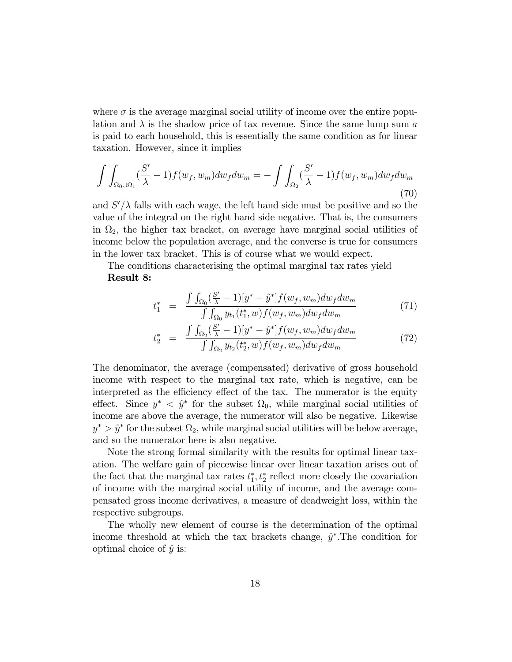where  $\sigma$  is the average marginal social utility of income over the entire population and  $\lambda$  is the shadow price of tax revenue. Since the same lump sum a is paid to each household, this is essentially the same condition as for linear taxation. However, since it implies

$$
\int \int_{\Omega_0 \cup \Omega_1} (\frac{S'}{\lambda} - 1) f(w_f, w_m) dw_f dw_m = - \int \int_{\Omega_2} (\frac{S'}{\lambda} - 1) f(w_f, w_m) dw_f dw_m \tag{70}
$$

and  $S'/\lambda$  falls with each wage, the left hand side must be positive and so the value of the integral on the right hand side negative. That is, the consumers in  $\Omega_2$ , the higher tax bracket, on average have marginal social utilities of income below the population average, and the converse is true for consumers in the lower tax bracket. This is of course what we would expect.

The conditions characterising the optimal marginal tax rates yield Result 8:

$$
t_{1}^{*} = \frac{\int \int_{\Omega_{0}} (\frac{S'}{\lambda} - 1)[y^{*} - \hat{y}^{*}] f(w_{f}, w_{m}) dw_{f} dw_{m}}{\int \int_{\Omega_{0}} y_{t_{1}}(t_{1}^{*}, w) f(w_{f}, w_{m}) dw_{f} dw_{m}}
$$
(71)

$$
t_{2}^{*} = \frac{\int \int_{\Omega_{2}} (\frac{S'}{\lambda} - 1)[y^{*} - \hat{y}^{*}] f(w_{f}, w_{m}) dw_{f} dw_{m}}{\int \int_{\Omega_{2}} y_{t_{2}}(t_{2}^{*}, w) f(w_{f}, w_{m}) dw_{f} dw_{m}}
$$
(72)

The denominator, the average (compensated) derivative of gross household income with respect to the marginal tax rate, which is negative, can be interpreted as the efficiency effect of the tax. The numerator is the equity effect. Since  $y^* \leq \hat{y}^*$  for the subset  $\Omega_0$ , while marginal social utilities of income are above the average, the numerator will also be negative. Likewise  $y^* > \hat{y}^*$  for the subset  $\Omega_2$ , while marginal social utilities will be below average, and so the numerator here is also negative.

Note the strong formal similarity with the results for optimal linear taxation. The welfare gain of piecewise linear over linear taxation arises out of the fact that the marginal tax rates  $t_1^*, t_2^*$  reflect more closely the covariation of income with the marginal social utility of income, and the average compensated gross income derivatives, a measure of deadweight loss, within the respective subgroups.

The wholly new element of course is the determination of the optimal income threshold at which the tax brackets change,  $\hat{y}^*$ . The condition for optimal choice of  $\hat{y}$  is: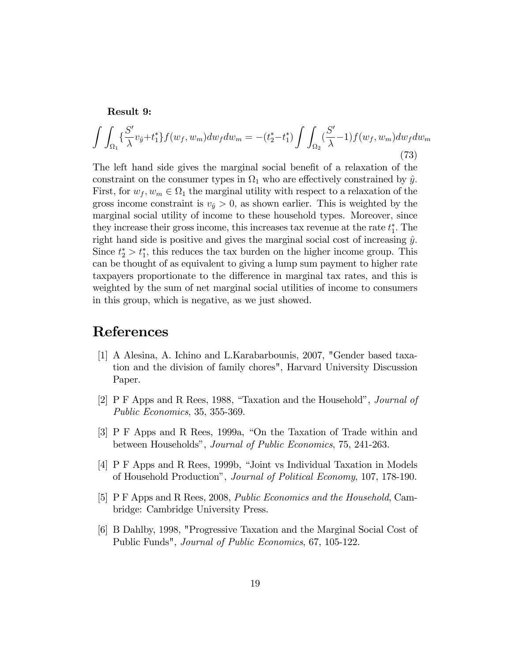#### Result 9:

$$
\int \int_{\Omega_1} \left\{ \frac{S'}{\lambda} v_{\hat{y}} + t_1^* \right\} f(w_f, w_m) dw_f dw_m = -(t_2^* - t_1^*) \int \int_{\Omega_2} \left( \frac{S'}{\lambda} - 1 \right) f(w_f, w_m) dw_f dw_m \tag{73}
$$

The left hand side gives the marginal social benefit of a relaxation of the constraint on the consumer types in  $\Omega_1$  who are effectively constrained by  $\hat{y}$ . First, for  $w_f, w_m \in \Omega_1$  the marginal utility with respect to a relaxation of the gross income constraint is  $v_{\hat{y}} > 0$ , as shown earlier. This is weighted by the marginal social utility of income to these household types. Moreover, since they increase their gross income, this increases tax revenue at the rate  $t_1^*$ . The right hand side is positive and gives the marginal social cost of increasing  $\hat{y}$ . Since  $t_2^* > t_1^*$ , this reduces the tax burden on the higher income group. This can be thought of as equivalent to giving a lump sum payment to higher rate taxpayers proportionate to the difference in marginal tax rates, and this is weighted by the sum of net marginal social utilities of income to consumers in this group, which is negative, as we just showed.

## References

- [1] A Alesina, A. Ichino and L.Karabarbounis, 2007, "Gender based taxation and the division of family chores", Harvard University Discussion Paper.
- [2] P F Apps and R Rees, 1988, "Taxation and the Household", *Journal of* Public Economics, 35, 355-369.
- [3] P F Apps and R Rees, 1999a, "On the Taxation of Trade within and between Households", Journal of Public Economics, 75, 241-263.
- [4] P F Apps and R Rees, 1999b, "Joint vs Individual Taxation in Models of Household Productionî, Journal of Political Economy, 107, 178-190.
- [5] P F Apps and R Rees, 2008, Public Economics and the Household, Cambridge: Cambridge University Press.
- [6] B Dahlby, 1998, "Progressive Taxation and the Marginal Social Cost of Public Funds", Journal of Public Economics, 67, 105-122.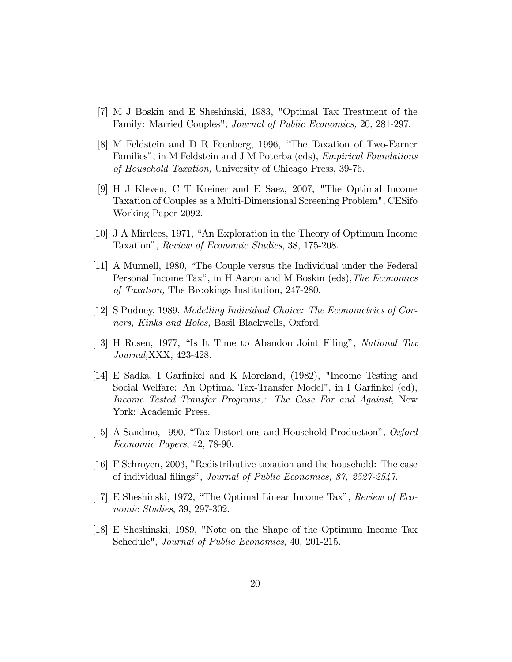- [7] M J Boskin and E Sheshinski, 1983, "Optimal Tax Treatment of the Family: Married Couples", Journal of Public Economics, 20, 281-297.
- [8] M Feldstein and D R Feenberg, 1996, "The Taxation of Two-Earner Families", in M Feldstein and J M Poterba (eds), *Empirical Foundations* of Household Taxation, University of Chicago Press, 39-76.
- [9] H J Kleven, C T Kreiner and E Saez, 2007, "The Optimal Income Taxation of Couples as a Multi-Dimensional Screening Problem", CESifo Working Paper 2092.
- [10] J A Mirrlees, 1971, "An Exploration in the Theory of Optimum Income Taxationî, Review of Economic Studies, 38, 175-208.
- [11] A Munnell, 1980, "The Couple versus the Individual under the Federal Personal Income Tax", in H Aaron and M Boskin (eds), The Economics of Taxation, The Brookings Institution, 247-280.
- [12] S Pudney, 1989, Modelling Individual Choice: The Econometrics of Corners, Kinks and Holes, Basil Blackwells, Oxford.
- [13] H Rosen, 1977, "Is It Time to Abandon Joint Filing", National Tax Journal,XXX, 423-428.
- [14] E Sadka, I Garfinkel and K Moreland, (1982), "Income Testing and Social Welfare: An Optimal Tax-Transfer Model", in I Garfinkel (ed), Income Tested Transfer Programs,: The Case For and Against, New York: Academic Press.
- [15] A Sandmo, 1990, "Tax Distortions and Household Production",  $Oxford$ Economic Papers, 42, 78-90.
- [16] F Schroyen, 2003, îRedistributive taxation and the household: The case of individual filings", Journal of Public Economics, 87, 2527-2547.
- [17] E Sheshinski, 1972, "The Optimal Linear Income Tax", Review of Economic Studies, 39, 297-302.
- [18] E Sheshinski, 1989, "Note on the Shape of the Optimum Income Tax Schedule", Journal of Public Economics, 40, 201-215.